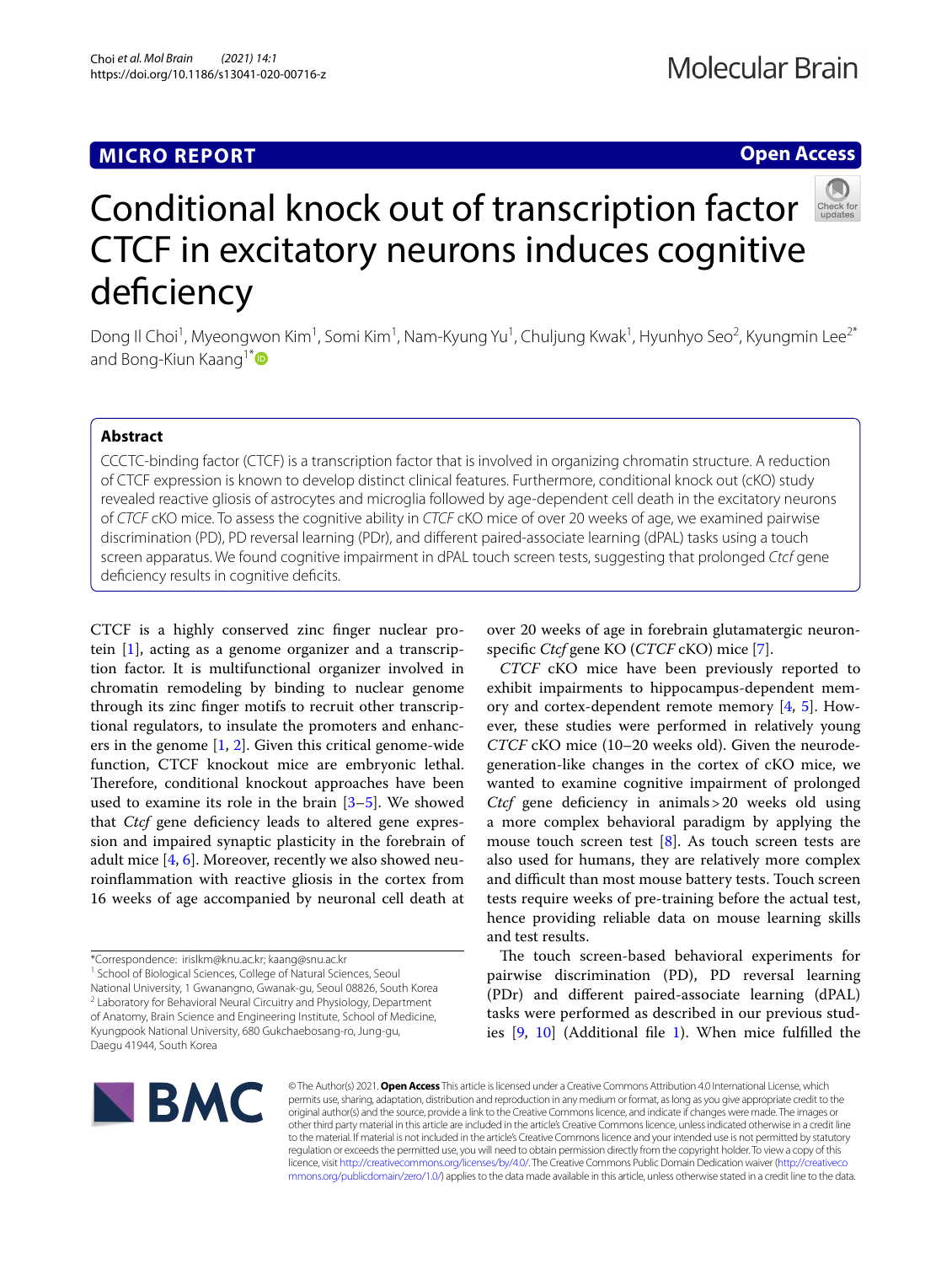# **MICRO REPORT**

# **Open Access**



# Conditional knock out of transcription factor CTCF in excitatory neurons induces cognitive deficiency

Dong Il Choi<sup>1</sup>, Myeongwon Kim<sup>1</sup>, Somi Kim<sup>1</sup>, Nam-Kyung Yu<sup>1</sup>, Chuljung Kwak<sup>1</sup>, Hyunhyo Seo<sup>2</sup>, Kyungmin Lee<sup>2\*</sup> and Bong-Kiun Kaang<sup>1[\\*](http://orcid.org/0000-0001-7593-9707)</sup>

## **Abstract**

CCCTC-binding factor (CTCF) is a transcription factor that is involved in organizing chromatin structure. A reduction of CTCF expression is known to develop distinct clinical features. Furthermore, conditional knock out (cKO) study revealed reactive gliosis of astrocytes and microglia followed by age-dependent cell death in the excitatory neurons of *CTCF* cKO mice. To assess the cognitive ability in *CTCF* cKO mice of over 20 weeks of age, we examined pairwise discrimination (PD), PD reversal learning (PDr), and diferent paired-associate learning (dPAL) tasks using a touch screen apparatus. We found cognitive impairment in dPAL touch screen tests, suggesting that prolonged *Ctcf* gene deficiency results in cognitive deficits.

CTCF is a highly conserved zinc fnger nuclear protein [\[1](#page-3-0)], acting as a genome organizer and a transcription factor. It is multifunctional organizer involved in chromatin remodeling by binding to nuclear genome through its zinc fnger motifs to recruit other transcriptional regulators, to insulate the promoters and enhancers in the genome  $[1, 2]$  $[1, 2]$  $[1, 2]$ . Given this critical genome-wide function, CTCF knockout mice are embryonic lethal. Therefore, conditional knockout approaches have been used to examine its role in the brain [[3–](#page-3-2)[5](#page-3-3)]. We showed that *Ctcf* gene deficiency leads to altered gene expression and impaired synaptic plasticity in the forebrain of adult mice  $[4, 6]$  $[4, 6]$  $[4, 6]$  $[4, 6]$ . Moreover, recently we also showed neuroinfammation with reactive gliosis in the cortex from 16 weeks of age accompanied by neuronal cell death at

<sup>1</sup> School of Biological Sciences, College of Natural Sciences, Seoul National University, 1 Gwanangno, Gwanak‑gu, Seoul 08826, South Korea <sup>2</sup> Laboratory for Behavioral Neural Circuitry and Physiology, Department of Anatomy, Brain Science and Engineering Institute, School of Medicine, Kyungpook National University, 680 Gukchaebosang‑ro, Jung‑gu, Daegu 41944, South Korea

over 20 weeks of age in forebrain glutamatergic neuronspecifc *Ctcf* gene KO (*CTCF* cKO) mice [[7\]](#page-3-6).

*CTCF* cKO mice have been previously reported to exhibit impairments to hippocampus-dependent memory and cortex-dependent remote memory  $[4, 5]$  $[4, 5]$  $[4, 5]$  $[4, 5]$  $[4, 5]$ . However, these studies were performed in relatively young *CTCF* cKO mice (10–20 weeks old). Given the neurodegeneration-like changes in the cortex of cKO mice, we wanted to examine cognitive impairment of prolonged *Ctcf* gene deficiency in animals > 20 weeks old using a more complex behavioral paradigm by applying the mouse touch screen test  $[8]$  $[8]$ . As touch screen tests are also used for humans, they are relatively more complex and difficult than most mouse battery tests. Touch screen tests require weeks of pre-training before the actual test, hence providing reliable data on mouse learning skills and test results.

The touch screen-based behavioral experiments for pairwise discrimination (PD), PD reversal learning (PDr) and diferent paired-associate learning (dPAL) tasks were performed as described in our previous studies [\[9](#page-3-8), [10\]](#page-3-9) (Additional fle [1\)](#page-2-0). When mice fulflled the



© The Author(s) 2021. **Open Access** This article is licensed under a Creative Commons Attribution 4.0 International License, which permits use, sharing, adaptation, distribution and reproduction in any medium or format, as long as you give appropriate credit to the original author(s) and the source, provide a link to the Creative Commons licence, and indicate if changes were made. The images or other third party material in this article are included in the article's Creative Commons licence, unless indicated otherwise in a credit line to the material. If material is not included in the article's Creative Commons licence and your intended use is not permitted by statutory regulation or exceeds the permitted use, you will need to obtain permission directly from the copyright holder. To view a copy of this licence, visit [http://creativecommons.org/licenses/by/4.0/.](http://creativecommons.org/licenses/by/4.0/) The Creative Commons Public Domain Dedication waiver ([http://creativeco](http://creativecommons.org/publicdomain/zero/1.0/) [mmons.org/publicdomain/zero/1.0/](http://creativecommons.org/publicdomain/zero/1.0/)) applies to the data made available in this article, unless otherwise stated in a credit line to the data.

<sup>\*</sup>Correspondence: irislkm@knu.ac.kr; kaang@snu.ac.kr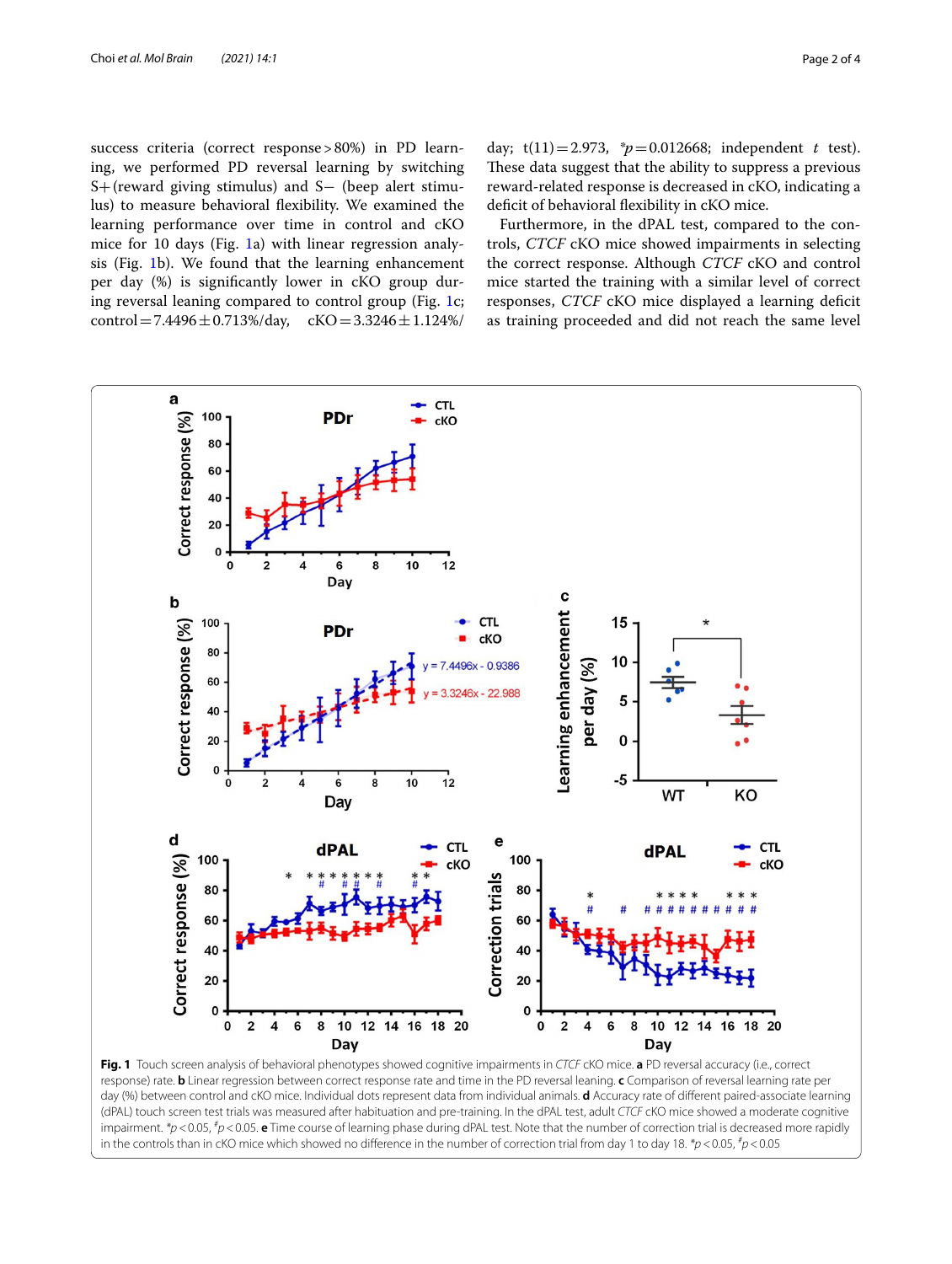success criteria (correct response>80%) in PD learning, we performed PD reversal learning by switching S+(reward giving stimulus) and S− (beep alert stimulus) to measure behavioral fexibility. We examined the learning performance over time in control and cKO mice for 10 days (Fig. [1](#page-1-0)a) with linear regression analysis (Fig. [1](#page-1-0)b). We found that the learning enhancement per day (%) is signifcantly lower in cKO group during reversal leaning compared to control group (Fig. [1c](#page-1-0); control = 7.4496  $\pm$  0.713%/day, cKO = 3.3246  $\pm$  1.124%/

day;  $t(11)=2.973$ ,  $p=0.012668$ ; independent *t* test). These data suggest that the ability to suppress a previous reward-related response is decreased in cKO, indicating a deficit of behavioral flexibility in cKO mice.

Furthermore, in the dPAL test, compared to the controls, *CTCF* cKO mice showed impairments in selecting the correct response. Although *CTCF* cKO and control mice started the training with a similar level of correct responses, *CTCF* cKO mice displayed a learning deficit as training proceeded and did not reach the same level



<span id="page-1-0"></span>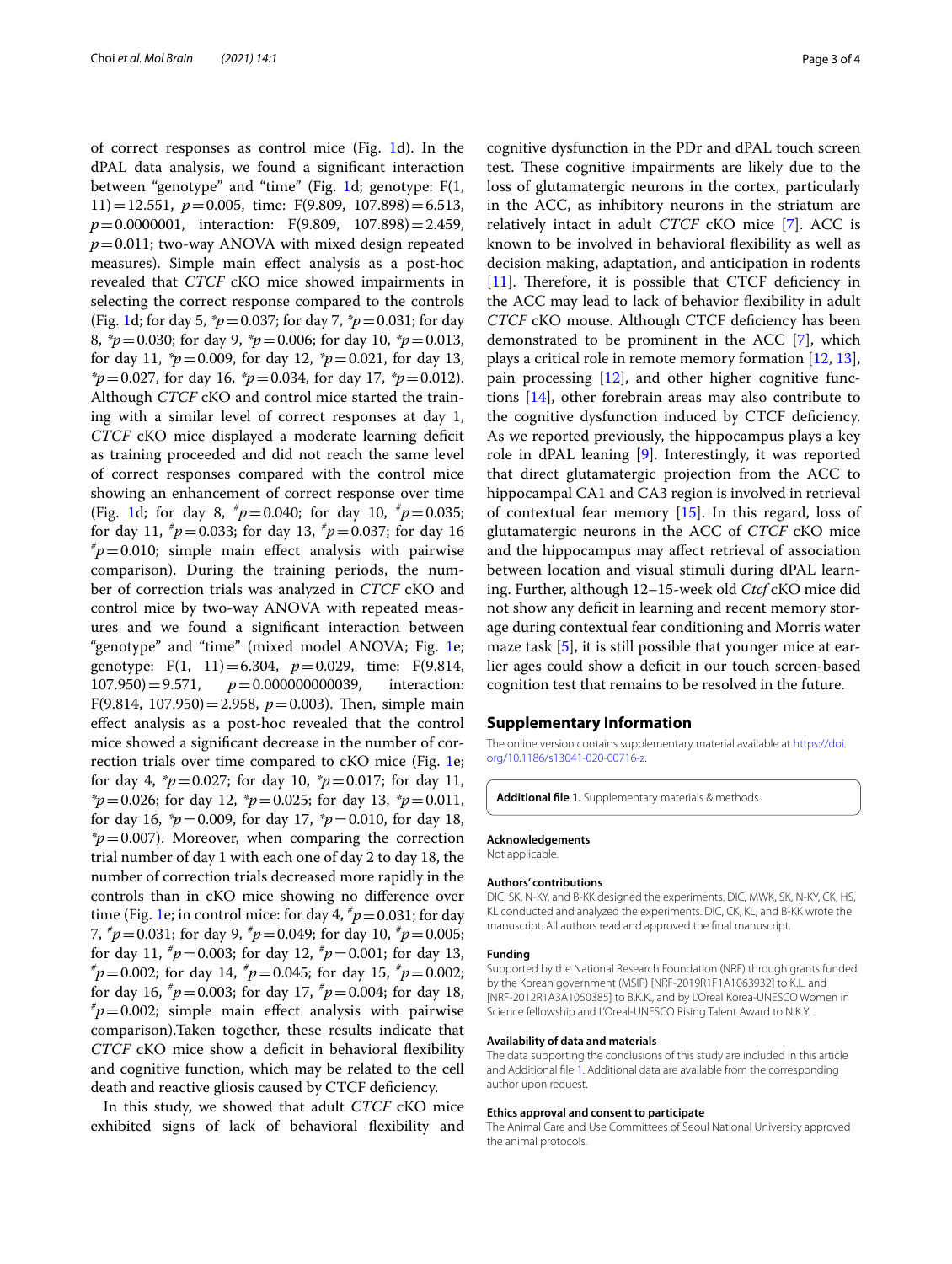of correct responses as control mice (Fig. [1](#page-1-0)d). In the dPAL data analysis, we found a signifcant interaction between "genotype" and "time" (Fig. [1d](#page-1-0); genotype: F(1, 11)=12.551, *p*=0.005, time: F(9.809, 107.898)=6.513, *p*=0.0000001, interaction: F(9.809, 107.898)=2.459, *p*=0.011; two-way ANOVA with mixed design repeated measures). Simple main efect analysis as a post-hoc revealed that *CTCF* cKO mice showed impairments in selecting the correct response compared to the controls (Fig. [1d](#page-1-0); for day 5, *\*p*=0.037; for day 7, *\*p*=0.031; for day 8, *\*p*=0.030; for day 9, *\*p*=0.006; for day 10, *\*p*=0.013, for day 11, *\*p*=0.009, for day 12, *\*p*=0.021, for day 13, *\*p*=0.027, for day 16, *\*p*=0.034, for day 17, *\*p*=0.012). Although *CTCF* cKO and control mice started the training with a similar level of correct responses at day 1, *CTCF* cKO mice displayed a moderate learning deficit as training proceeded and did not reach the same level of correct responses compared with the control mice showing an enhancement of correct response over time (Fig. [1d](#page-1-0); for day 8, *# p*=0.040; for day 10, *# p*=0.035; for day 11,  $\mu = 0.033$ ; for day 13,  $\mu = 0.037$ ; for day 16  $\mu = 0.010$ ; simple main effect applysis with pairwise  $\bar{p}$ =0.010; simple main effect analysis with pairwise comparison). During the training periods, the number of correction trials was analyzed in *CTCF* cKO and control mice by two-way ANOVA with repeated measures and we found a signifcant interaction between "genotype" and "time" (mixed model ANOVA; Fig. [1e](#page-1-0); genotype: F(1, 11)=6.304,  $p=0.029$ , time: F(9.814, 107.950)=9.571,  $p=0.000000000039$ , interaction:  $p=0.000000000039$ , F(9.814, 107.950) = 2.958,  $p = 0.003$ ). Then, simple main efect analysis as a post-hoc revealed that the control mice showed a signifcant decrease in the number of correction trials over time compared to cKO mice (Fig. [1e](#page-1-0); for day 4, *\*p*=0.027; for day 10, *\*p*=0.017; for day 11, *\*p*=0.026; for day 12, *\*p*=0.025; for day 13, *\*p*=0.011, for day 16, *\*p*=0.009, for day 17, *\*p*=0.010, for day 18, *\*p*=0.007). Moreover, when comparing the correction trial number of day 1 with each one of day 2 to day 18, the number of correction trials decreased more rapidly in the controls than in cKO mice showing no diference over time (Fig. [1e](#page-1-0); in control mice: for day 4,  $^{\#}p$  = 0.031; for day 7, *# p*=0.031; for day 9, *# p*=0.049; for day 10, *# p*=0.005; for day 11,  $^{\#}p = 0.003$ ; for day 12,  $^{\#}p = 0.001$ ; for day 13,  $^{\#}n = 0.002$ ; for day 14,  $^{\#}n = 0.045$ ; for day 15,  $^{\#}n = 0.002$ ; *p*=0.002; for day 14, *# p*=0.045; for day 15, *# p*=0.002; for day 16,  $p^*p = 0.003$ ; for day 17,  $p^*p = 0.004$ ; for day 18,  $p^*p = 0.002$ ; simple main effect analysis with pairwise  $\bar{p}$ =0.002; simple main effect analysis with pairwise comparison).Taken together, these results indicate that *CTCF* cKO mice show a deficit in behavioral flexibility and cognitive function, which may be related to the cell death and reactive gliosis caused by CTCF defciency.

In this study, we showed that adult *CTCF* cKO mice exhibited signs of lack of behavioral fexibility and

cognitive dysfunction in the PDr and dPAL touch screen test. These cognitive impairments are likely due to the loss of glutamatergic neurons in the cortex, particularly in the ACC, as inhibitory neurons in the striatum are relatively intact in adult *CTCF* cKO mice [\[7](#page-3-6)]. ACC is known to be involved in behavioral fexibility as well as decision making, adaptation, and anticipation in rodents  $[11]$  $[11]$ . Therefore, it is possible that CTCF deficiency in the ACC may lead to lack of behavior fexibility in adult *CTCF* cKO mouse. Although CTCF defciency has been demonstrated to be prominent in the ACC [\[7\]](#page-3-6), which plays a critical role in remote memory formation [[12,](#page-3-11) [13](#page-3-12)], pain processing [\[12](#page-3-11)], and other higher cognitive functions [\[14\]](#page-3-13), other forebrain areas may also contribute to the cognitive dysfunction induced by CTCF defciency. As we reported previously, the hippocampus plays a key role in dPAL leaning [\[9](#page-3-8)]. Interestingly, it was reported that direct glutamatergic projection from the ACC to hippocampal CA1 and CA3 region is involved in retrieval of contextual fear memory [\[15\]](#page-3-14). In this regard, loss of glutamatergic neurons in the ACC of *CTCF* cKO mice and the hippocampus may afect retrieval of association between location and visual stimuli during dPAL learning. Further, although 12–15-week old *Ctcf* cKO mice did not show any defcit in learning and recent memory storage during contextual fear conditioning and Morris water maze task [\[5](#page-3-3)], it is still possible that younger mice at earlier ages could show a deficit in our touch screen-based cognition test that remains to be resolved in the future.

### **Supplementary Information**

The online version contains supplementary material available at [https://doi.](https://doi.org/10.1186/s13041-020-00716-z) [org/10.1186/s13041-020-00716-z.](https://doi.org/10.1186/s13041-020-00716-z)

<span id="page-2-0"></span>**Additional fle 1.** Supplementary materials & methods.

#### **Acknowledgements**

Not applicable.

#### **Authors' contributions**

DIC, SK, N-KY, and B-KK designed the experiments. DIC, MWK, SK, N-KY, CK, HS, KL conducted and analyzed the experiments. DIC, CK, KL, and B-KK wrote the manuscript. All authors read and approved the fnal manuscript.

#### **Funding**

Supported by the National Research Foundation (NRF) through grants funded by the Korean government (MSIP) [NRF-2019R1F1A1063932] to K.L. and [NRF-2012R1A3A1050385] to B.K.K., and by L'Oreal Korea-UNESCO Women in Science fellowship and L'Oreal-UNESCO Rising Talent Award to N.K.Y.

#### **Availability of data and materials**

The data supporting the conclusions of this study are included in this article and Additional fle [1.](#page-2-0) Additional data are available from the corresponding author upon request.

#### **Ethics approval and consent to participate**

The Animal Care and Use Committees of Seoul National University approved the animal protocols.